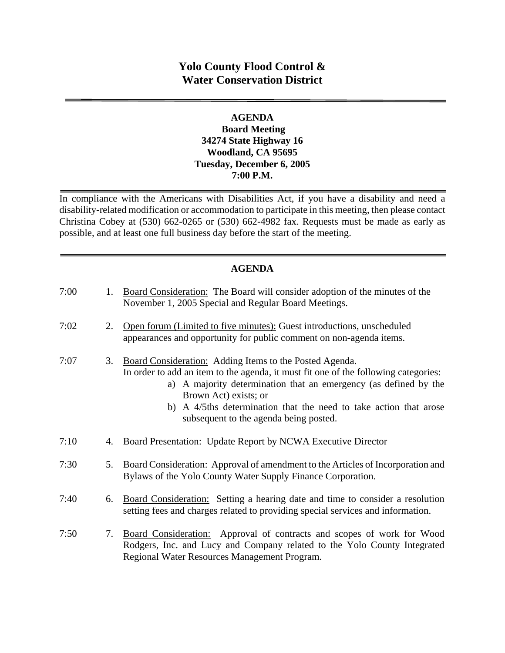# **Yolo County Flood Control & Water Conservation District**

#### **AGENDA Board Meeting 34274 State Highway 16 Woodland, CA 95695 Tuesday, December 6, 2005 7:00 P.M.**

In compliance with the Americans with Disabilities Act, if you have a disability and need a disability-related modification or accommodation to participate in this meeting, then please contact Christina Cobey at (530) 662-0265 or (530) 662-4982 fax. Requests must be made as early as possible, and at least one full business day before the start of the meeting.

## **AGENDA**

| 7:00 | 1. | Board Consideration: The Board will consider adoption of the minutes of the<br>November 1, 2005 Special and Regular Board Meetings.                                                                                                                                                                                                                        |
|------|----|------------------------------------------------------------------------------------------------------------------------------------------------------------------------------------------------------------------------------------------------------------------------------------------------------------------------------------------------------------|
| 7:02 | 2. | Open forum (Limited to five minutes): Guest introductions, unscheduled<br>appearances and opportunity for public comment on non-agenda items.                                                                                                                                                                                                              |
| 7:07 | 3. | Board Consideration: Adding Items to the Posted Agenda.<br>In order to add an item to the agenda, it must fit one of the following categories:<br>a) A majority determination that an emergency (as defined by the<br>Brown Act) exists; or<br>b) A 4/5ths determination that the need to take action that arose<br>subsequent to the agenda being posted. |
| 7:10 | 4. | Board Presentation: Update Report by NCWA Executive Director                                                                                                                                                                                                                                                                                               |
| 7:30 | 5. | Board Consideration: Approval of amendment to the Articles of Incorporation and<br>Bylaws of the Yolo County Water Supply Finance Corporation.                                                                                                                                                                                                             |
| 7:40 | 6. | Board Consideration: Setting a hearing date and time to consider a resolution<br>setting fees and charges related to providing special services and information.                                                                                                                                                                                           |
| 7:50 | 7. | Board Consideration: Approval of contracts and scopes of work for Wood<br>Rodgers, Inc. and Lucy and Company related to the Yolo County Integrated<br>Regional Water Resources Management Program.                                                                                                                                                         |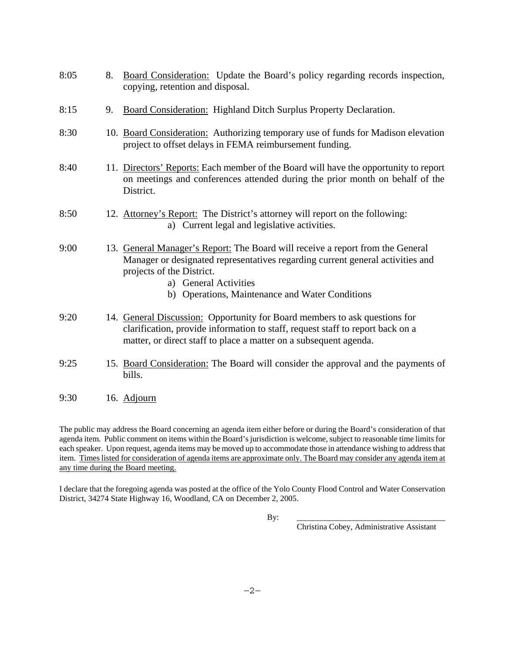| 8:05 | 8. | Board Consideration: Update the Board's policy regarding records inspection,<br>copying, retention and disposal.                                                                                                                                                          |
|------|----|---------------------------------------------------------------------------------------------------------------------------------------------------------------------------------------------------------------------------------------------------------------------------|
| 8:15 | 9. | <b>Board Consideration:</b> Highland Ditch Surplus Property Declaration.                                                                                                                                                                                                  |
| 8:30 |    | 10. Board Consideration: Authorizing temporary use of funds for Madison elevation<br>project to offset delays in FEMA reimbursement funding.                                                                                                                              |
| 8:40 |    | 11. Directors' Reports: Each member of the Board will have the opportunity to report<br>on meetings and conferences attended during the prior month on behalf of the<br>District.                                                                                         |
| 8:50 |    | 12. Attorney's Report: The District's attorney will report on the following:<br>a) Current legal and legislative activities.                                                                                                                                              |
| 9:00 |    | 13. General Manager's Report: The Board will receive a report from the General<br>Manager or designated representatives regarding current general activities and<br>projects of the District.<br>a) General Activities<br>b) Operations, Maintenance and Water Conditions |
| 9:20 |    | 14. General Discussion: Opportunity for Board members to ask questions for<br>clarification, provide information to staff, request staff to report back on a<br>matter, or direct staff to place a matter on a subsequent agenda.                                         |
| 9:25 |    | 15. Board Consideration: The Board will consider the approval and the payments of<br>bills.                                                                                                                                                                               |
| 9:30 |    | 16. Adjourn                                                                                                                                                                                                                                                               |

The public may address the Board concerning an agenda item either before or during the Board's consideration of that agenda item. Public comment on items within the Board's jurisdiction is welcome, subject to reasonable time limits for each speaker. Upon request, agenda items may be moved up to accommodate those in attendance wishing to address that item. Times listed for consideration of agenda items are approximate only. The Board may consider any agenda item at any time during the Board meeting.

I declare that the foregoing agenda was posted at the office of the Yolo County Flood Control and Water Conservation District, 34274 State Highway 16, Woodland, CA on December 2, 2005.

By: \_\_\_\_\_\_\_\_\_\_\_\_\_\_\_\_\_\_\_\_\_\_\_\_\_\_\_\_\_\_\_\_\_\_\_\_\_

Christina Cobey, Administrative Assistant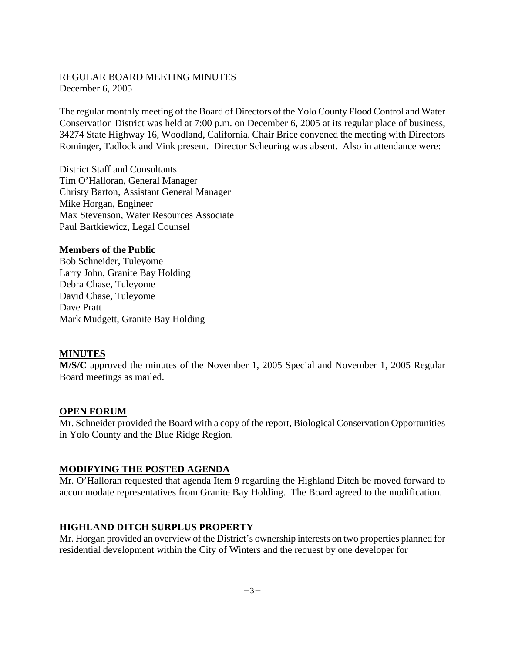### REGULAR BOARD MEETING MINUTES December 6, 2005

The regular monthly meeting of the Board of Directors of the Yolo County Flood Control and Water Conservation District was held at 7:00 p.m. on December 6, 2005 at its regular place of business, 34274 State Highway 16, Woodland, California. Chair Brice convened the meeting with Directors Rominger, Tadlock and Vink present. Director Scheuring was absent. Also in attendance were:

District Staff and Consultants Tim O'Halloran, General Manager Christy Barton, Assistant General Manager Mike Horgan, Engineer Max Stevenson, Water Resources Associate Paul Bartkiewicz, Legal Counsel

#### **Members of the Public**

Bob Schneider, Tuleyome Larry John, Granite Bay Holding Debra Chase, Tuleyome David Chase, Tuleyome Dave Pratt Mark Mudgett, Granite Bay Holding

#### **MINUTES**

**M/S/C** approved the minutes of the November 1, 2005 Special and November 1, 2005 Regular Board meetings as mailed.

#### **OPEN FORUM**

Mr. Schneider provided the Board with a copy of the report, Biological Conservation Opportunities in Yolo County and the Blue Ridge Region.

#### **MODIFYING THE POSTED AGENDA**

Mr. O'Halloran requested that agenda Item 9 regarding the Highland Ditch be moved forward to accommodate representatives from Granite Bay Holding. The Board agreed to the modification.

#### **HIGHLAND DITCH SURPLUS PROPERTY**

Mr. Horgan provided an overview of the District's ownership interests on two properties planned for residential development within the City of Winters and the request by one developer for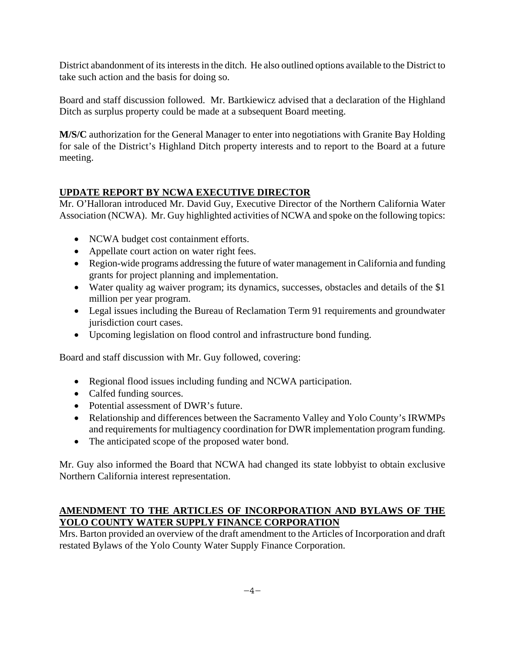District abandonment of its interests in the ditch. He also outlined options available to the District to take such action and the basis for doing so.

Board and staff discussion followed. Mr. Bartkiewicz advised that a declaration of the Highland Ditch as surplus property could be made at a subsequent Board meeting.

**M/S/C** authorization for the General Manager to enter into negotiations with Granite Bay Holding for sale of the District's Highland Ditch property interests and to report to the Board at a future meeting.

## **UPDATE REPORT BY NCWA EXECUTIVE DIRECTOR**

Mr. O'Halloran introduced Mr. David Guy, Executive Director of the Northern California Water Association (NCWA). Mr. Guy highlighted activities of NCWA and spoke on the following topics:

- NCWA budget cost containment efforts.
- Appellate court action on water right fees.
- Region-wide programs addressing the future of water management in California and funding grants for project planning and implementation.
- Water quality ag waiver program; its dynamics, successes, obstacles and details of the \$1 million per year program.
- Legal issues including the Bureau of Reclamation Term 91 requirements and groundwater jurisdiction court cases.
- Upcoming legislation on flood control and infrastructure bond funding.

Board and staff discussion with Mr. Guy followed, covering:

- Regional flood issues including funding and NCWA participation.
- Calfed funding sources.
- Potential assessment of DWR's future.
- Relationship and differences between the Sacramento Valley and Yolo County's IRWMPs and requirements for multiagency coordination for DWR implementation program funding.
- The anticipated scope of the proposed water bond.

Mr. Guy also informed the Board that NCWA had changed its state lobbyist to obtain exclusive Northern California interest representation.

## **AMENDMENT TO THE ARTICLES OF INCORPORATION AND BYLAWS OF THE YOLO COUNTY WATER SUPPLY FINANCE CORPORATION**

Mrs. Barton provided an overview of the draft amendment to the Articles of Incorporation and draft restated Bylaws of the Yolo County Water Supply Finance Corporation.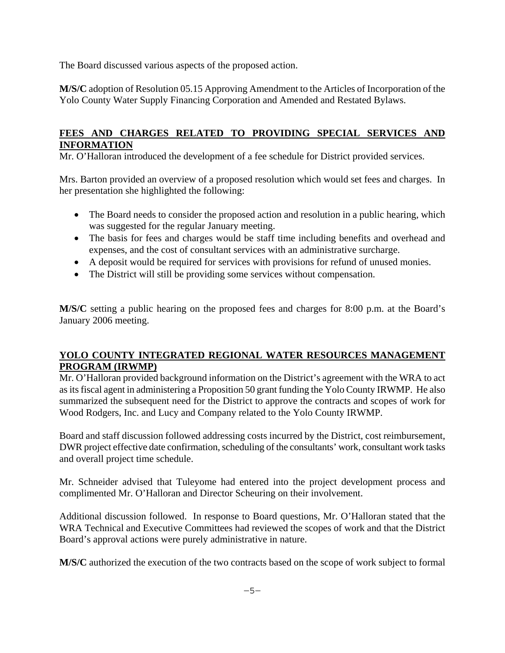The Board discussed various aspects of the proposed action.

**M/S/C** adoption of Resolution 05.15 Approving Amendment to the Articles of Incorporation of the Yolo County Water Supply Financing Corporation and Amended and Restated Bylaws.

### **FEES AND CHARGES RELATED TO PROVIDING SPECIAL SERVICES AND INFORMATION**

Mr. O'Halloran introduced the development of a fee schedule for District provided services.

Mrs. Barton provided an overview of a proposed resolution which would set fees and charges. In her presentation she highlighted the following:

- The Board needs to consider the proposed action and resolution in a public hearing, which was suggested for the regular January meeting.
- The basis for fees and charges would be staff time including benefits and overhead and expenses, and the cost of consultant services with an administrative surcharge.
- A deposit would be required for services with provisions for refund of unused monies.
- The District will still be providing some services without compensation.

**M/S/C** setting a public hearing on the proposed fees and charges for 8:00 p.m. at the Board's January 2006 meeting.

## **YOLO COUNTY INTEGRATED REGIONAL WATER RESOURCES MANAGEMENT PROGRAM (IRWMP)**

Mr. O'Halloran provided background information on the District's agreement with the WRA to act as its fiscal agent in administering a Proposition 50 grant funding the Yolo County IRWMP. He also summarized the subsequent need for the District to approve the contracts and scopes of work for Wood Rodgers, Inc. and Lucy and Company related to the Yolo County IRWMP.

Board and staff discussion followed addressing costs incurred by the District, cost reimbursement, DWR project effective date confirmation, scheduling of the consultants' work, consultant work tasks and overall project time schedule.

Mr. Schneider advised that Tuleyome had entered into the project development process and complimented Mr. O'Halloran and Director Scheuring on their involvement.

Additional discussion followed. In response to Board questions, Mr. O'Halloran stated that the WRA Technical and Executive Committees had reviewed the scopes of work and that the District Board's approval actions were purely administrative in nature.

**M/S/C** authorized the execution of the two contracts based on the scope of work subject to formal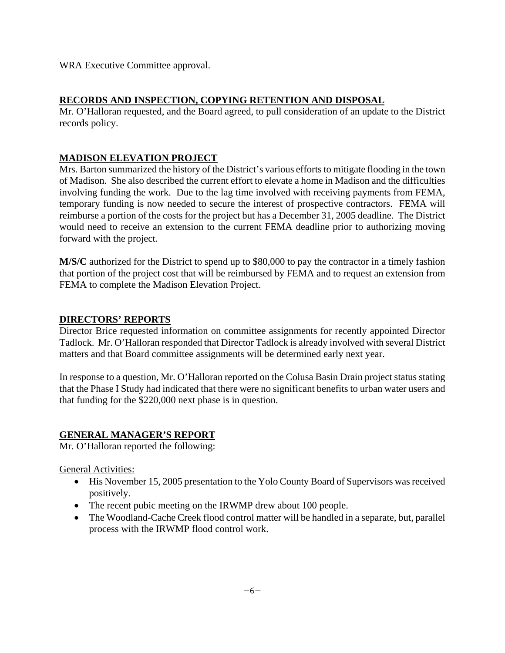WRA Executive Committee approval.

### **RECORDS AND INSPECTION, COPYING RETENTION AND DISPOSAL**

Mr. O'Halloran requested, and the Board agreed, to pull consideration of an update to the District records policy.

## **MADISON ELEVATION PROJECT**

Mrs. Barton summarized the history of the District's various efforts to mitigate flooding in the town of Madison. She also described the current effort to elevate a home in Madison and the difficulties involving funding the work. Due to the lag time involved with receiving payments from FEMA, temporary funding is now needed to secure the interest of prospective contractors. FEMA will reimburse a portion of the costs for the project but has a December 31, 2005 deadline. The District would need to receive an extension to the current FEMA deadline prior to authorizing moving forward with the project.

**M/S/C** authorized for the District to spend up to \$80,000 to pay the contractor in a timely fashion that portion of the project cost that will be reimbursed by FEMA and to request an extension from FEMA to complete the Madison Elevation Project.

### **DIRECTORS' REPORTS**

Director Brice requested information on committee assignments for recently appointed Director Tadlock. Mr. O'Halloran responded that Director Tadlock is already involved with several District matters and that Board committee assignments will be determined early next year.

In response to a question, Mr. O'Halloran reported on the Colusa Basin Drain project status stating that the Phase I Study had indicated that there were no significant benefits to urban water users and that funding for the \$220,000 next phase is in question.

### **GENERAL MANAGER'S REPORT**

Mr. O'Halloran reported the following:

General Activities:

- His November 15, 2005 presentation to the Yolo County Board of Supervisors was received positively.
- The recent pubic meeting on the IRWMP drew about 100 people.
- The Woodland-Cache Creek flood control matter will be handled in a separate, but, parallel process with the IRWMP flood control work.